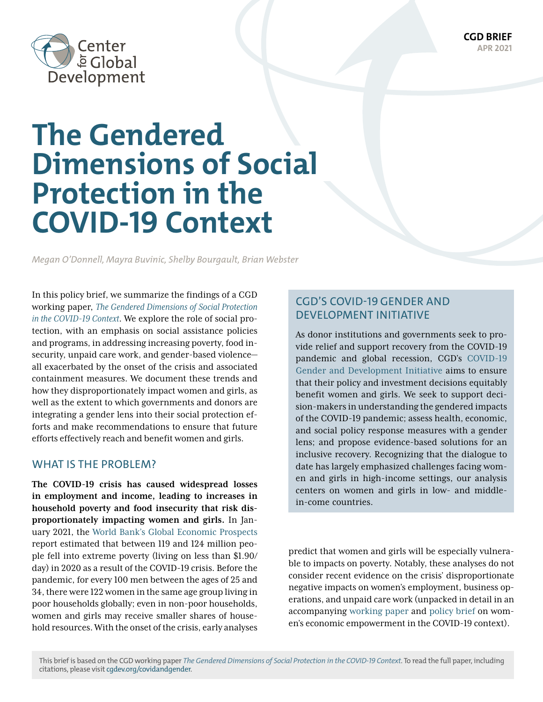**CGD BRIEF APR 2021**



# **The Gendered Dimensions of Social Protection in the COVID-19 Context**

*Megan O'Donnell, Mayra Buvinic, Shelby Bourgault, Brian Webster*

In this policy brief, we summarize the findings of a CGD working paper, *[The Gendered Dimensions of Social Protection](https://www.cgdev.org/publication/gendered-dimensions-social-protection-covid-19-context) [in the COVID-19 Context](https://www.cgdev.org/publication/gendered-dimensions-social-protection-covid-19-context)*. We explore the role of social protection, with an emphasis on social assistance policies and programs, in addressing increasing poverty, food insecurity, unpaid care work, and gender-based violence all exacerbated by the onset of the crisis and associated containment measures. We document these trends and how they disproportionately impact women and girls, as well as the extent to which governments and donors are integrating a gender lens into their social protection efforts and make recommendations to ensure that future efforts effectively reach and benefit women and girls.

## WHAT IS THE PROBLEM?

**The COVID-19 crisis has caused widespread losses in employment and income, leading to increases in household poverty and food insecurity that risk disproportionately impacting women and girls.** In January 2021, [the World Bank's Global Economic Prospects](https://www.worldbank.org/en/publication/global-economic-prospects) [report](https://www.worldbank.org/en/publication/global-economic-prospects) estimated that between 119 and 124 million people fell into extreme poverty (living on less than \$1.90/ day) in 2020 as a result of the COVID-19 crisis. Before the pandemic, for every 100 men between the ages of 25 and 34, there were 122 women in the same age group living in poor households globally; even in non-poor households, women and girls may receive smaller shares of household resources. With the onset of the crisis, early analyses

## CGD'S COVID-19 GENDER AND DEVELOPMENT INITIATIVE

As donor institutions and governments seek to provide relief and support recovery from the COVID-19 pandemic and global recession, CGD's [COVID-19](https://www.cgdev.org/project/covid-gender-initiative)  [Gender and Development Initiative](https://www.cgdev.org/project/covid-gender-initiative) aims to ensure that their policy and investment decisions equitably benefit women and girls. We seek to support decision-makers in understanding the gendered impacts of the COVID-19 pandemic; assess health, economic, and social policy response measures with a gender lens; and propose evidence-based solutions for an inclusive recovery. Recognizing that the dialogue to date has largely emphasized challenges facing women and girls in high-income settings, our analysis centers on women and girls in low- and middlein-come countries.

predict that women and girls will be especially vulnerable to impacts on poverty. Notably, these analyses do not consider recent evidence on the crisis' disproportionate negative impacts on women's employment, business operations, and unpaid care work (unpacked in detail in an accompanying [working paper](https://www.cgdev.org/publication/promoting-womens-economic-empowerment-covid-19-context) and [policy brief](https://www.cgdev.org/publication/promoting-womens-economic-empowerment-covid-19-context-0) on women's economic empowerment in the COVID-19 context).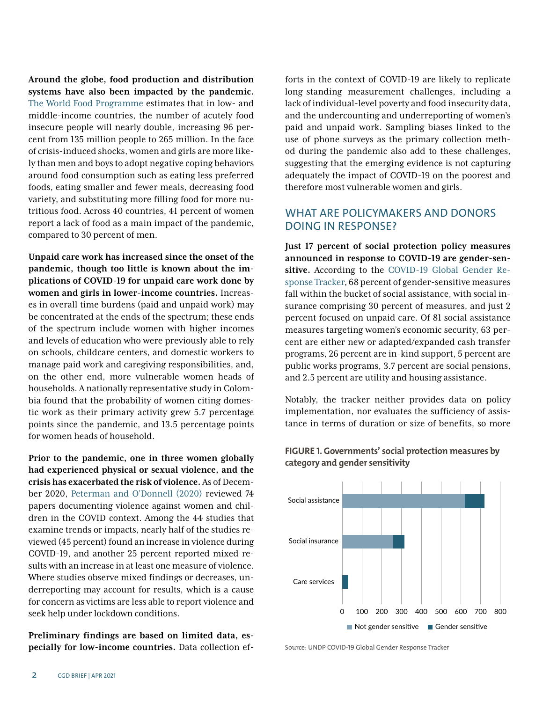**Around the globe, food production and distribution systems have also been impacted by the pandemic.** [The World Food Programme](https://www.wfp.org/news/covid-19-will-double-number-people-facing-food-crises-unless-swift-action-taken) estimates that in low- and middle-income countries, the number of acutely food insecure people will nearly double, increasing 96 percent from 135 million people to 265 million. In the face of crisis-induced shocks, women and girls are more likely than men and boys to adopt negative coping behaviors around food consumption such as eating less preferred foods, eating smaller and fewer meals, decreasing food variety, and substituting more filling food for more nutritious food. Across 40 countries, 41 percent of women report a lack of food as a main impact of the pandemic, compared to 30 percent of men.

**Unpaid care work has increased since the onset of the pandemic, though too little is known about the implications of COVID-19 for unpaid care work done by women and girls in lower-income countries.** Increases in overall time burdens (paid and unpaid work) may be concentrated at the ends of the spectrum; these ends of the spectrum include women with higher incomes and levels of education who were previously able to rely on schools, childcare centers, and domestic workers to manage paid work and caregiving responsibilities, and, on the other end, more vulnerable women heads of households. A nationally representative study in Colombia found that the probability of women citing domestic work as their primary activity grew 5.7 percentage points since the pandemic, and 13.5 percentage points for women heads of household.

**Prior to the pandemic, one in three women globally had experienced physical or sexual violence, and the crisis has exacerbated the risk of violence.** As of December 2020, [Peterman and O'Donnell \(2020\)](https://www.cgdev.org/sites/default/files/covid-and-violence-against-women-and-children-three.pdf) reviewed 74 papers documenting violence against women and children in the COVID context. Among the 44 studies that examine trends or impacts, nearly half of the studies reviewed (45 percent) found an increase in violence during COVID-19, and another 25 percent reported mixed results with an increase in at least one measure of violence. Where studies observe mixed findings or decreases, underreporting may account for results, which is a cause for concern as victims are less able to report violence and seek help under lockdown conditions.

**Preliminary findings are based on limited data, especially for low-income countries.** Data collection efforts in the context of COVID-19 are likely to replicate long-standing measurement challenges, including a lack of individual-level poverty and food insecurity data, and the undercounting and underreporting of women's paid and unpaid work. Sampling biases linked to the use of phone surveys as the primary collection method during the pandemic also add to these challenges, suggesting that the emerging evidence is not capturing adequately the impact of COVID-19 on the poorest and therefore most vulnerable women and girls.

## WHAT ARE POLICYMAKERS AND DONORS DOING IN RESPONSE?

**Just 17 percent of social protection policy measures announced in response to COVID-19 are gender-sensitive.** According to the [COVID-19 Global Gender Re](https://data.undp.org/gendertracker/)[sponse Tracker,](https://data.undp.org/gendertracker/) 68 percent of gender-sensitive measures fall within the bucket of social assistance, with social insurance comprising 30 percent of measures, and just 2 percent focused on unpaid care. Of 81 social assistance measures targeting women's economic security, 63 percent are either new or adapted/expanded cash transfer programs, 26 percent are in-kind support, 5 percent are public works programs, 3.7 percent are social pensions, and 2.5 percent are utility and housing assistance.

Notably, the tracker neither provides data on policy implementation, nor evaluates the sufficiency of assistance in terms of duration or size of benefits, so more



#### **FIGURE 1. Governments' social protection measures by category and gender sensitivity**

Source: UNDP COVID-19 Global Gender Response Tracker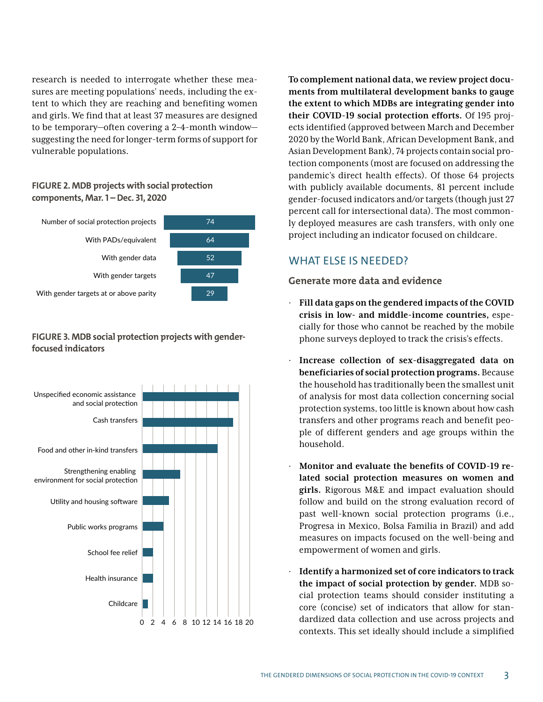research is needed to interrogate whether these measures are meeting populations' needs, including the extent to which they are reaching and benefiting women and girls. We find that at least 37 measures are designed to be temporary—often covering a 2–4-month window suggesting the need for longer-term forms of support for vulnerable populations.

#### **FIGURE 2. MDB projects with social protection components, Mar. 1 – Dec. 31, 2020**



### **FIGURE 3. MDB social protection projects with genderfocused indicators**



**To complement national data, we review project documents from multilateral development banks to gauge the extent to which MDBs are integrating gender into their COVID-19 social protection efforts.** Of 195 projects identified (approved between March and December 2020 by the World Bank, African Development Bank, and Asian Development Bank), 74 projects contain social protection components (most are focused on addressing the pandemic's direct health effects). Of those 64 projects with publicly available documents, 81 percent include gender-focused indicators and/or targets (though just 27 percent call for intersectional data). The most commonly deployed measures are cash transfers, with only one project including an indicator focused on childcare.

# WHAT ELSE IS NEEDED?

### **Generate more data and evidence**

- · **Fill data gaps on the gendered impacts of the COVID crisis in low- and middle-income countries,** especially for those who cannot be reached by the mobile phone surveys deployed to track the crisis's effects.
- Increase collection of sex-disaggregated data on **beneficiaries of social protection programs.** Because the household has traditionally been the smallest unit of analysis for most data collection concerning social protection systems, too little is known about how cash transfers and other programs reach and benefit people of different genders and age groups within the household.
- · **Monitor and evaluate the benefits of COVID-19 related social protection measures on women and girls.** Rigorous M&E and impact evaluation should follow and build on the strong evaluation record of past well-known social protection programs (i.e., Progresa in Mexico, Bolsa Familia in Brazil) and add measures on impacts focused on the well-being and empowerment of women and girls.
- · **Identify a harmonized set of core indicators to track the impact of social protection by gender.** MDB social protection teams should consider instituting a core (concise) set of indicators that allow for standardized data collection and use across projects and contexts. This set ideally should include a simplified